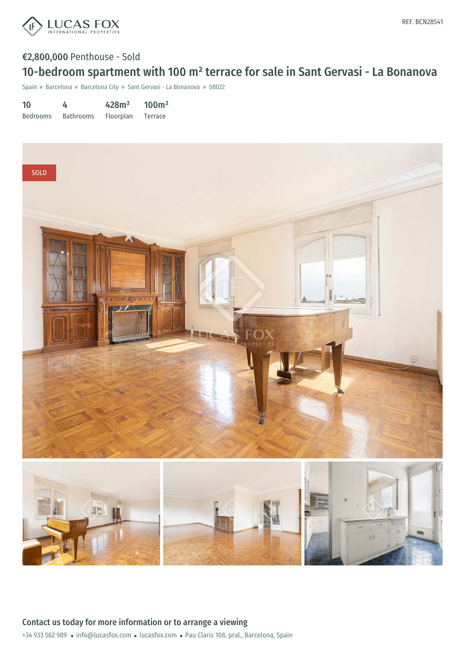

## €2,800,000 Penthouse - Sold 10-bedroom spartment with 100 m² terrace for sale in Sant Gervasi - La Bonanova

Spain » Barcelona » Barcelona City » Sant Gervasi - La Bonanova » 08022

10 Bedrooms 4 Bathrooms 428m² Floorplan 100m² Terrace

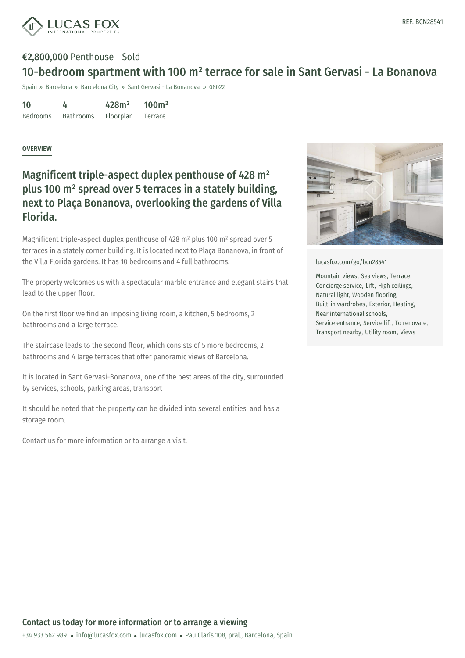

### €2,800,000 Penthouse - Sold 10-bedroom spartment with 100 m² terrace for sale in Sant Gervasi - La Bonanova

Spain » Barcelona » Barcelona City » Sant Gervasi - La Bonanova » 08022

| 10              | 4                | 428m <sup>2</sup> | 100m <sup>2</sup> |
|-----------------|------------------|-------------------|-------------------|
| <b>Bedrooms</b> | <b>Bathrooms</b> | Floorplan         | Terrace           |

#### OVERVIEW

### Magnificent triple-aspect duplex penthouse of 428 m² plus 100 m² spread over 5 terraces in a stately building, next to Plaça Bonanova, overlooking the gardens of Villa Florida.

Magnificent triple-aspect duplex penthouse of 428 m² plus 100 m² spread over 5 terraces in a stately corner building. It is located next to Plaça Bonanova, in front of the Villa Florida gardens. It has 10 bedrooms and 4 full bathrooms.

The property welcomes us with a spectacular marble entrance and elegant stairs that lead to the upper floor.

On the first floor we find an imposing living room, a kitchen, 5 bedrooms, 2 bathrooms and a large terrace.

The staircase leads to the second floor, which consists of 5 more bedrooms, 2 bathrooms and 4 large terraces that offer panoramic views of Barcelona.

It is located in Sant Gervasi-Bonanova, one of the best areas of the city, surrounded by services, schools, parking areas, transport

It should be noted that the property can be divided into several entities, and has a storage room.

Contact us for more information or to arrange a visit.



[lucasfox.com/go/bcn28541](https://www.lucasfox.com/go/bcn28541)

Mountain views, Sea views, Terrace, Concierge service, Lift, High ceilings, Natural light, Wooden flooring, Built-in wardrobes, Exterior, Heating, Near international schools, Service entrance, Service lift, To renovate, Transport nearby, Utility room, Views